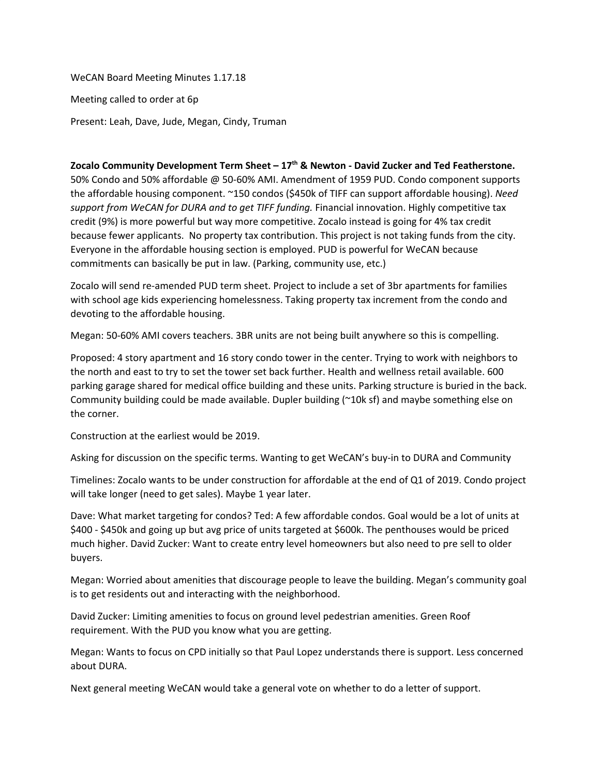WeCAN Board Meeting Minutes 1.17.18 Meeting called to order at 6p

Present: Leah, Dave, Jude, Megan, Cindy, Truman

## **Zocalo Community Development Term Sheet – 17 th & Newton - David Zucker and Ted Featherstone.**

50% Condo and 50% affordable @ 50-60% AMI. Amendment of 1959 PUD. Condo component supports the affordable housing component. ~150 condos (\$450k of TIFF can support affordable housing). *Need support from WeCAN for DURA and to get TIFF funding.* Financial innovation. Highly competitive tax credit (9%) is more powerful but way more competitive. Zocalo instead is going for 4% tax credit because fewer applicants. No property tax contribution. This project is not taking funds from the city. Everyone in the affordable housing section is employed. PUD is powerful for WeCAN because commitments can basically be put in law. (Parking, community use, etc.)

Zocalo will send re-amended PUD term sheet. Project to include a set of 3br apartments for families with school age kids experiencing homelessness. Taking property tax increment from the condo and devoting to the affordable housing.

Megan: 50-60% AMI covers teachers. 3BR units are not being built anywhere so this is compelling.

Proposed: 4 story apartment and 16 story condo tower in the center. Trying to work with neighbors to the north and east to try to set the tower set back further. Health and wellness retail available. 600 parking garage shared for medical office building and these units. Parking structure is buried in the back. Community building could be made available. Dupler building (~10k sf) and maybe something else on the corner.

Construction at the earliest would be 2019.

Asking for discussion on the specific terms. Wanting to get WeCAN's buy-in to DURA and Community

Timelines: Zocalo wants to be under construction for affordable at the end of Q1 of 2019. Condo project will take longer (need to get sales). Maybe 1 year later.

Dave: What market targeting for condos? Ted: A few affordable condos. Goal would be a lot of units at \$400 - \$450k and going up but avg price of units targeted at \$600k. The penthouses would be priced much higher. David Zucker: Want to create entry level homeowners but also need to pre sell to older buyers.

Megan: Worried about amenities that discourage people to leave the building. Megan's community goal is to get residents out and interacting with the neighborhood.

David Zucker: Limiting amenities to focus on ground level pedestrian amenities. Green Roof requirement. With the PUD you know what you are getting.

Megan: Wants to focus on CPD initially so that Paul Lopez understands there is support. Less concerned about DURA.

Next general meeting WeCAN would take a general vote on whether to do a letter of support.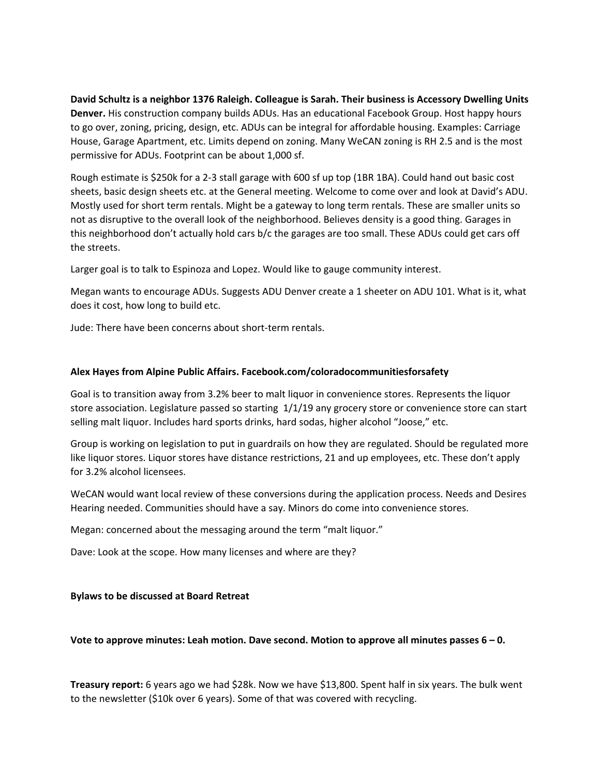**David Schultz is a neighbor 1376 Raleigh. Colleague is Sarah. Their business is Accessory Dwelling Units Denver.** His construction company builds ADUs. Has an educational Facebook Group. Host happy hours to go over, zoning, pricing, design, etc. ADUs can be integral for affordable housing. Examples: Carriage House, Garage Apartment, etc. Limits depend on zoning. Many WeCAN zoning is RH 2.5 and is the most permissive for ADUs. Footprint can be about 1,000 sf.

Rough estimate is \$250k for a 2-3 stall garage with 600 sf up top (1BR 1BA). Could hand out basic cost sheets, basic design sheets etc. at the General meeting. Welcome to come over and look at David's ADU. Mostly used for short term rentals. Might be a gateway to long term rentals. These are smaller units so not as disruptive to the overall look of the neighborhood. Believes density is a good thing. Garages in this neighborhood don't actually hold cars b/c the garages are too small. These ADUs could get cars off the streets.

Larger goal is to talk to Espinoza and Lopez. Would like to gauge community interest.

Megan wants to encourage ADUs. Suggests ADU Denver create a 1 sheeter on ADU 101. What is it, what does it cost, how long to build etc.

Jude: There have been concerns about short-term rentals.

## **Alex Hayes from Alpine Public Affairs. Facebook.com/coloradocommunitiesforsafety**

Goal is to transition away from 3.2% beer to malt liquor in convenience stores. Represents the liquor store association. Legislature passed so starting 1/1/19 any grocery store or convenience store can start selling malt liquor. Includes hard sports drinks, hard sodas, higher alcohol "Joose," etc.

Group is working on legislation to put in guardrails on how they are regulated. Should be regulated more like liquor stores. Liquor stores have distance restrictions, 21 and up employees, etc. These don't apply for 3.2% alcohol licensees.

WeCAN would want local review of these conversions during the application process. Needs and Desires Hearing needed. Communities should have a say. Minors do come into convenience stores.

Megan: concerned about the messaging around the term "malt liquor."

Dave: Look at the scope. How many licenses and where are they?

## **Bylaws to be discussed at Board Retreat**

## **Vote to approve minutes: Leah motion. Dave second. Motion to approve all minutes passes 6 – 0.**

**Treasury report:** 6 years ago we had \$28k. Now we have \$13,800. Spent half in six years. The bulk went to the newsletter (\$10k over 6 years). Some of that was covered with recycling.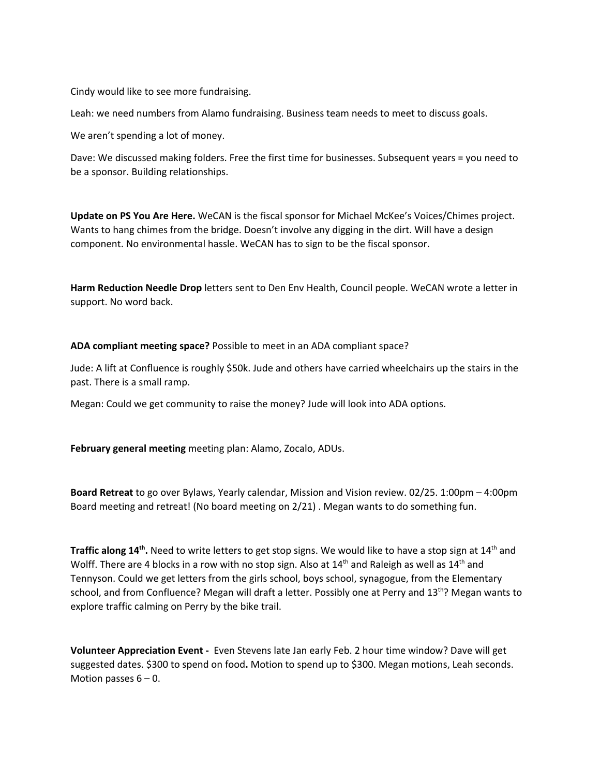Cindy would like to see more fundraising.

Leah: we need numbers from Alamo fundraising. Business team needs to meet to discuss goals.

We aren't spending a lot of money.

Dave: We discussed making folders. Free the first time for businesses. Subsequent years = you need to be a sponsor. Building relationships.

**Update on PS You Are Here.** WeCAN is the fiscal sponsor for Michael McKee's Voices/Chimes project. Wants to hang chimes from the bridge. Doesn't involve any digging in the dirt. Will have a design component. No environmental hassle. WeCAN has to sign to be the fiscal sponsor.

**Harm Reduction Needle Drop** letters sent to Den Env Health, Council people. WeCAN wrote a letter in support. No word back.

**ADA compliant meeting space?** Possible to meet in an ADA compliant space?

Jude: A lift at Confluence is roughly \$50k. Jude and others have carried wheelchairs up the stairs in the past. There is a small ramp.

Megan: Could we get community to raise the money? Jude will look into ADA options.

**February general meeting** meeting plan: Alamo, Zocalo, ADUs.

**Board Retreat** to go over Bylaws, Yearly calendar, Mission and Vision review. 02/25. 1:00pm – 4:00pm Board meeting and retreat! (No board meeting on 2/21) . Megan wants to do something fun.

**Traffic along 14<sup>th</sup>.** Need to write letters to get stop signs. We would like to have a stop sign at 14<sup>th</sup> and Wolff. There are 4 blocks in a row with no stop sign. Also at  $14^{\text{th}}$  and Raleigh as well as  $14^{\text{th}}$  and Tennyson. Could we get letters from the girls school, boys school, synagogue, from the Elementary school, and from Confluence? Megan will draft a letter. Possibly one at Perry and 13<sup>th</sup>? Megan wants to explore traffic calming on Perry by the bike trail.

**Volunteer Appreciation Event -** Even Stevens late Jan early Feb. 2 hour time window? Dave will get suggested dates. \$300 to spend on food**.** Motion to spend up to \$300. Megan motions, Leah seconds. Motion passes  $6 - 0$ .